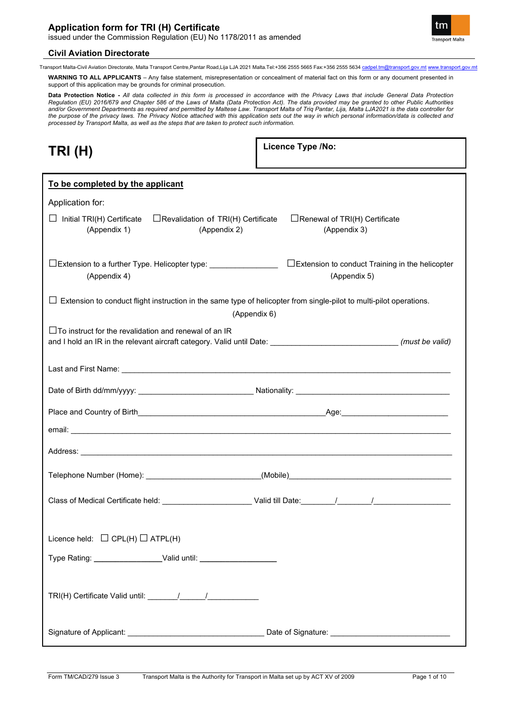

Transport Malta-Civil Aviation Directorate, Malta Transport Centre,Pantar Road,Lija LJA 2021 Malta.Tel:+356 2555 5665 Fax:+356 2555 5634 [cadpel.tm@transport.gov.mt](mailto:cadpel.tm@transport.gov.mt) [www.transport.gov.mt](http://www.transport.gov.mt/)

**WARNING TO ALL APPLICANTS** – Any false statement, misrepresentation or concealment of material fact on this form or any document presented in support of this application may be grounds for criminal prosecution.

**Data Protection Notice** - All data collected in this form is processed in accordance with the Privacy Laws that include General Data Protection<br>Regulation (EU) 2016/679 and Chapter 586 of the Laws of Malta (Data Protectio *and/or Government Departments as required and permitted by Maltese Law. Transport Malta of Triq Pantar, Lija, Malta LJA2021 is the data controller for the purpose of the privacy laws. The Privacy Notice attached with this application sets out the way in which personal information/data is collected and processed by Transport Malta, as well as the steps that are taken to protect such information.*

| L | ۱<br>٧<br>ш |
|---|-------------|
|---|-------------|

**Licence Type /No:** 

| To be completed by the applicant                                                                                                                                                    |                                                                  |
|-------------------------------------------------------------------------------------------------------------------------------------------------------------------------------------|------------------------------------------------------------------|
| Application for:                                                                                                                                                                    |                                                                  |
| $\Box$ Initial TRI(H) Certificate<br>$\Box$ Revalidation of TRI(H) Certificate<br>(Appendix 1)<br>(Appendix 2)                                                                      | $\Box$ Renewal of TRI(H) Certificate<br>(Appendix 3)             |
| □Extension to a further Type. Helicopter type:<br>(Appendix 4)                                                                                                                      | □Extension to conduct Training in the helicopter<br>(Appendix 5) |
| $\Box$ Extension to conduct flight instruction in the same type of helicopter from single-pilot to multi-pilot operations.                                                          |                                                                  |
| (Appendix 6)                                                                                                                                                                        |                                                                  |
| $\Box$ To instruct for the revalidation and renewal of an IR<br>and I hold an IR in the relevant aircraft category. Valid until Date: ______________________________(must be valid) |                                                                  |
|                                                                                                                                                                                     |                                                                  |
|                                                                                                                                                                                     |                                                                  |
|                                                                                                                                                                                     |                                                                  |
|                                                                                                                                                                                     |                                                                  |
|                                                                                                                                                                                     |                                                                  |
|                                                                                                                                                                                     |                                                                  |
|                                                                                                                                                                                     |                                                                  |
| Licence held: $\Box$ CPL(H) $\Box$ ATPL(H)                                                                                                                                          |                                                                  |
| Type Rating: ____________________Valid until: __________________________________                                                                                                    |                                                                  |
|                                                                                                                                                                                     |                                                                  |
|                                                                                                                                                                                     |                                                                  |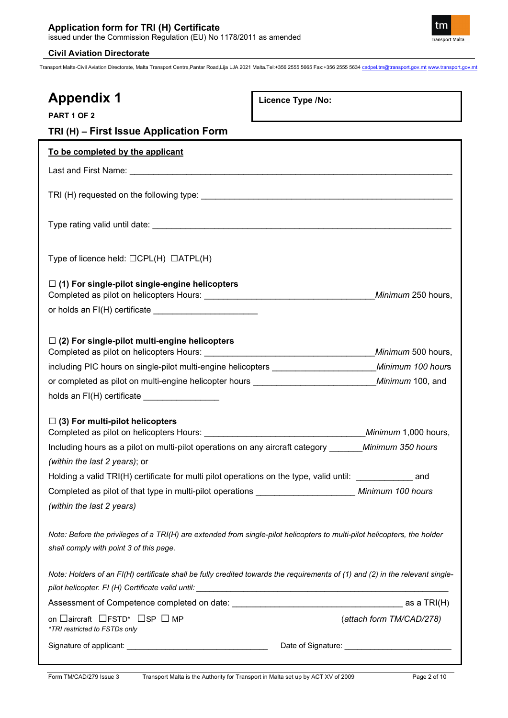

| <b>Appendix 1</b><br><b>PART 1 OF 2</b><br>TRI (H) - First Issue Application Form                                                                                    | Licence Type /No: |                          |
|----------------------------------------------------------------------------------------------------------------------------------------------------------------------|-------------------|--------------------------|
| To be completed by the applicant                                                                                                                                     |                   |                          |
|                                                                                                                                                                      |                   |                          |
|                                                                                                                                                                      |                   |                          |
|                                                                                                                                                                      |                   |                          |
|                                                                                                                                                                      |                   |                          |
| Type of licence held: $\Box$ CPL(H) $\Box$ ATPL(H)                                                                                                                   |                   |                          |
| $\Box$ (1) For single-pilot single-engine helicopters                                                                                                                |                   | Minimum 250 hours,       |
| or holds an FI(H) certificate __________________________                                                                                                             |                   |                          |
| $\Box$ (2) For single-pilot multi-engine helicopters                                                                                                                 |                   | Minimum 500 hours,       |
|                                                                                                                                                                      |                   |                          |
| or completed as pilot on multi-engine helicopter hours ___________________________________Minimum 100, and                                                           |                   |                          |
| holds an FI(H) certificate __________________                                                                                                                        |                   |                          |
| $\Box$ (3) For multi-pilot helicopters                                                                                                                               |                   |                          |
| Including hours as a pilot on multi-pilot operations on any aircraft category _______ Minimum 350 hours                                                              |                   |                          |
| (within the last 2 years); or                                                                                                                                        |                   |                          |
| Holding a valid TRI(H) certificate for multi pilot operations on the type, valid until: entitled and                                                                 |                   |                          |
|                                                                                                                                                                      |                   |                          |
| (within the last 2 years)                                                                                                                                            |                   |                          |
| Note: Before the privileges of a TRI(H) are extended from single-pilot helicopters to multi-pilot helicopters, the holder<br>shall comply with point 3 of this page. |                   |                          |
| Note: Holders of an FI(H) certificate shall be fully credited towards the requirements of (1) and (2) in the relevant single-                                        |                   |                          |
|                                                                                                                                                                      |                   |                          |
| on □aircraft □FSTD* □SP □ MP<br>*TRI restricted to FSTDs only                                                                                                        |                   | (attach form TM/CAD/278) |
|                                                                                                                                                                      |                   |                          |

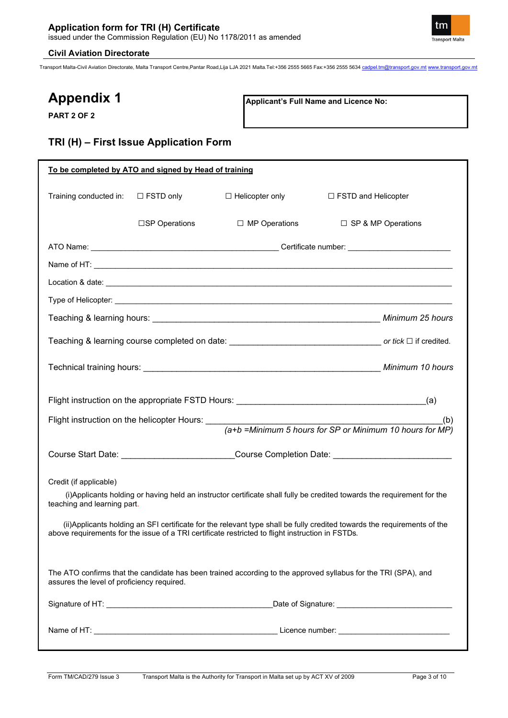

Transport Malta-Civil Aviation Directorate, Malta Transport Centre,Pantar Road,Lija LJA 2021 Malta.Tel:+356 2555 5665 Fax:+356 2555 5634 [cadpel.tm@transport.gov.mt](mailto:cadpel.tm@transport.gov.mt) [www.transport.gov.mt](http://www.transport.gov.mt/)

# **Appendix 1**

**PART 2 OF 2**

**Applicant's Full Name and Licence No:**

### **TRI (H) – First Issue Application Form**

| To be completed by ATO and signed by Head of training |                         |                                                                                                  |                                                                                                                          |
|-------------------------------------------------------|-------------------------|--------------------------------------------------------------------------------------------------|--------------------------------------------------------------------------------------------------------------------------|
| Training conducted in:                                | $\Box$ FSTD only        | $\Box$ Helicopter only                                                                           | $\Box$ FSTD and Helicopter                                                                                               |
|                                                       | $\square$ SP Operations | $\Box$ MP Operations                                                                             | $\Box$ SP & MP Operations                                                                                                |
|                                                       |                         |                                                                                                  |                                                                                                                          |
|                                                       |                         |                                                                                                  |                                                                                                                          |
|                                                       |                         |                                                                                                  |                                                                                                                          |
|                                                       |                         |                                                                                                  |                                                                                                                          |
|                                                       |                         |                                                                                                  |                                                                                                                          |
|                                                       |                         |                                                                                                  |                                                                                                                          |
|                                                       |                         |                                                                                                  |                                                                                                                          |
|                                                       |                         |                                                                                                  |                                                                                                                          |
|                                                       |                         |                                                                                                  | (b)<br>(a+b =Minimum 5 hours for SP or Minimum 10 hours for MP)                                                          |
|                                                       |                         |                                                                                                  |                                                                                                                          |
|                                                       |                         |                                                                                                  | Course Start Date: __________________________Course Completion Date: ______________________________                      |
| Credit (if applicable)                                |                         |                                                                                                  |                                                                                                                          |
| teaching and learning part.                           |                         |                                                                                                  | (i) Applicants holding or having held an instructor certificate shall fully be credited towards the requirement for the  |
|                                                       |                         | above requirements for the issue of a TRI certificate restricted to flight instruction in FSTDs. | (ii) Applicants holding an SFI certificate for the relevant type shall be fully credited towards the requirements of the |
| assures the level of proficiency required.            |                         |                                                                                                  | The ATO confirms that the candidate has been trained according to the approved syllabus for the TRI (SPA), and           |
|                                                       |                         |                                                                                                  | Date of Signature: <u>contained</u> and a set of Signature:                                                              |
|                                                       |                         |                                                                                                  |                                                                                                                          |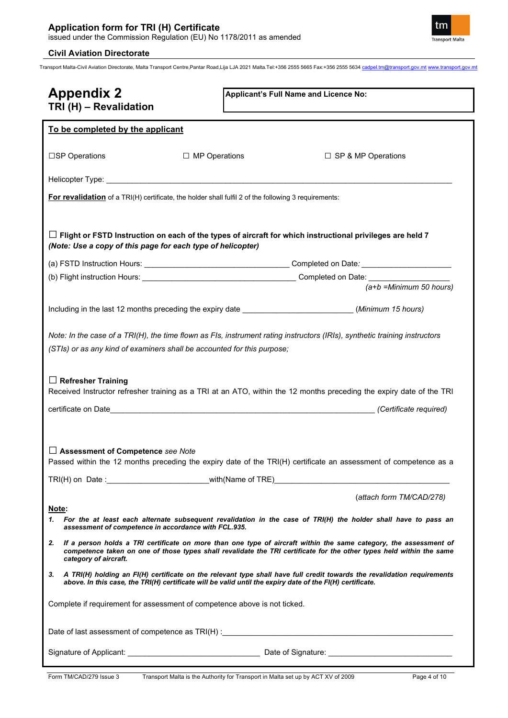Transport Malta-Civil Aviation Directorate, Malta Transport Centre,Pantar Road,Lija LJA 2021 Malta.Tel:+356 2555 5665 Fax:+356 2555 5634 [cadpel.tm@transport.gov.mt](mailto:cadpel.tm@transport.gov.mt) [www.transport.gov.mt](http://www.transport.gov.mt/)

| <b>Appendix 2</b><br>TRI (H) - Revalidation                                                                 | Applicant's Full Name and Licence No:                                                                                                                                                                                                              |
|-------------------------------------------------------------------------------------------------------------|----------------------------------------------------------------------------------------------------------------------------------------------------------------------------------------------------------------------------------------------------|
| To be completed by the applicant                                                                            |                                                                                                                                                                                                                                                    |
| $\Box$ MP Operations<br>□SP Operations                                                                      | $\Box$ SP & MP Operations                                                                                                                                                                                                                          |
|                                                                                                             |                                                                                                                                                                                                                                                    |
| <b>For revalidation</b> of a TRI(H) certificate, the holder shall fulfil 2 of the following 3 requirements: |                                                                                                                                                                                                                                                    |
| (Note: Use a copy of this page for each type of helicopter)                                                 | $\Box$ Flight or FSTD Instruction on each of the types of aircraft for which instructional privileges are held 7                                                                                                                                   |
|                                                                                                             |                                                                                                                                                                                                                                                    |
|                                                                                                             |                                                                                                                                                                                                                                                    |
|                                                                                                             | $(a+b)$ =Minimum 50 hours)                                                                                                                                                                                                                         |
|                                                                                                             | Including in the last 12 months preceding the expiry date ___________________________(Minimum 15 hours)                                                                                                                                            |
| (STIs) or as any kind of examiners shall be accounted for this purpose;<br>$\Box$ Refresher Training        | Note: In the case of a TRI(H), the time flown as FIs, instrument rating instructors (IRIs), synthetic training instructors<br>Received Instructor refresher training as a TRI at an ATO, within the 12 months preceding the expiry date of the TRI |
|                                                                                                             |                                                                                                                                                                                                                                                    |
| $\Box$ Assessment of Competence see Note                                                                    | Passed within the 12 months preceding the expiry date of the TRI(H) certificate an assessment of competence as a                                                                                                                                   |
|                                                                                                             | (attach form TM/CAD/278)                                                                                                                                                                                                                           |
| Note:<br>assessment of competence in accordance with FCL.935.                                               | 1. For the at least each alternate subsequent revalidation in the case of TRI(H) the holder shall have to pass an                                                                                                                                  |
| 2.<br>category of aircraft.                                                                                 | If a person holds a TRI certificate on more than one type of aircraft within the same category, the assessment of<br>competence taken on one of those types shall revalidate the TRI certificate for the other types held within the same          |
| 3.                                                                                                          | A TRI(H) holding an FI(H) certificate on the relevant type shall have full credit towards the revalidation requirements<br>above. In this case, the TRI(H) certificate will be valid until the expiry date of the FI(H) certificate.               |
| Complete if requirement for assessment of competence above is not ticked.                                   |                                                                                                                                                                                                                                                    |
|                                                                                                             | Date of last assessment of competence as TRI(H) : example and the control of the control of the control of competence as TRI(H) :                                                                                                                  |
|                                                                                                             |                                                                                                                                                                                                                                                    |

tm **Transport Malta**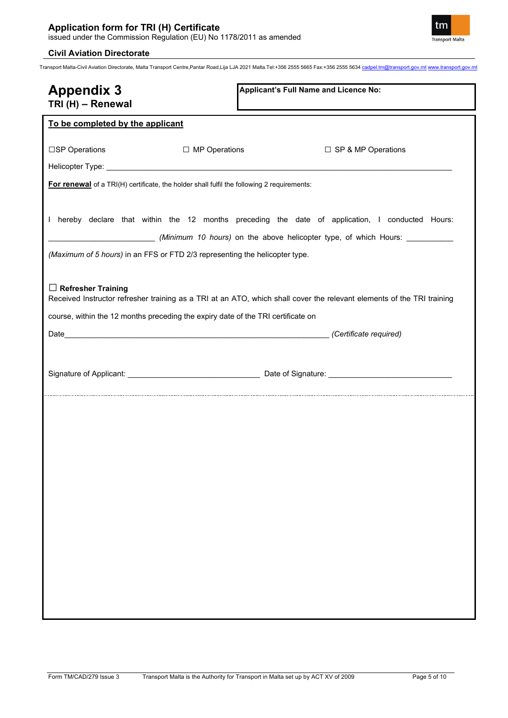

| <b>Appendix 3</b><br>TRI (H) - Renewal                                                                        | Applicant's Full Name and Licence No:                                                                                  |
|---------------------------------------------------------------------------------------------------------------|------------------------------------------------------------------------------------------------------------------------|
| To be completed by the applicant                                                                              |                                                                                                                        |
| □SP Operations<br>□ MP Operations                                                                             | □ SP & MP Operations                                                                                                   |
|                                                                                                               |                                                                                                                        |
| For renewal of a TRI(H) certificate, the holder shall fulfil the following 2 requirements:                    |                                                                                                                        |
|                                                                                                               | I hereby declare that within the 12 months preceding the date of application, I conducted Hours:                       |
| (Maximum of 5 hours) in an FFS or FTD 2/3 representing the helicopter type.                                   |                                                                                                                        |
| $\Box$ Refresher Training<br>course, within the 12 months preceding the expiry date of the TRI certificate on | Received Instructor refresher training as a TRI at an ATO, which shall cover the relevant elements of the TRI training |
|                                                                                                               |                                                                                                                        |
|                                                                                                               |                                                                                                                        |
|                                                                                                               |                                                                                                                        |
|                                                                                                               |                                                                                                                        |
|                                                                                                               |                                                                                                                        |
|                                                                                                               |                                                                                                                        |
|                                                                                                               |                                                                                                                        |
|                                                                                                               |                                                                                                                        |
|                                                                                                               |                                                                                                                        |
|                                                                                                               |                                                                                                                        |
|                                                                                                               |                                                                                                                        |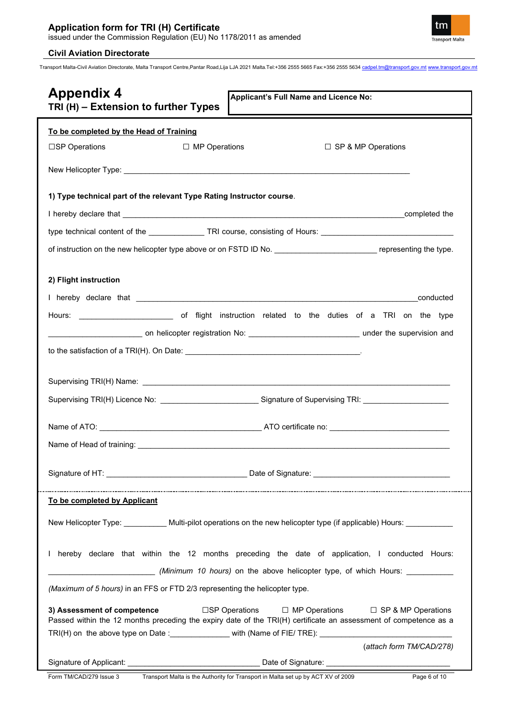

| <b>Appendix 4</b><br>Applicant's Full Name and Licence No:<br>TRI (H) - Extension to further Types                                                                                                     |
|--------------------------------------------------------------------------------------------------------------------------------------------------------------------------------------------------------|
| To be completed by the Head of Training                                                                                                                                                                |
| □ MP Operations<br>$\square$ SP & MP Operations<br>□SP Operations                                                                                                                                      |
|                                                                                                                                                                                                        |
| 1) Type technical part of the relevant Type Rating Instructor course.                                                                                                                                  |
|                                                                                                                                                                                                        |
| type technical content of the _______________TRI course, consisting of Hours: ________________________________                                                                                         |
| of instruction on the new helicopter type above or on FSTD ID No. _________________________________ representing the type.                                                                             |
| 2) Flight instruction                                                                                                                                                                                  |
| conducted                                                                                                                                                                                              |
|                                                                                                                                                                                                        |
|                                                                                                                                                                                                        |
|                                                                                                                                                                                                        |
|                                                                                                                                                                                                        |
|                                                                                                                                                                                                        |
| Supervising TRI(H) Licence No: ______________________________Signature of Supervising TRI: ___________________                                                                                         |
|                                                                                                                                                                                                        |
|                                                                                                                                                                                                        |
|                                                                                                                                                                                                        |
| To be completed by Applicant                                                                                                                                                                           |
| New Helicopter Type: __________ Multi-pilot operations on the new helicopter type (if applicable) Hours: _______                                                                                       |
| I hereby declare that within the 12 months preceding the date of application, I conducted Hours:<br>(Minimum 10 hours) on the above helicopter type, of which Hours:                                   |
| (Maximum of 5 hours) in an FFS or FTD 2/3 representing the helicopter type.                                                                                                                            |
| 3) Assessment of competence<br>□SP Operations □ MP Operations □ SP & MP Operations<br>Passed within the 12 months preceding the expiry date of the TRI(H) certificate an assessment of competence as a |
| TRI(H) on the above type on Date :______________with (Name of FIE/ TRE): ___________________________                                                                                                   |
| (attach form TM/CAD/278)                                                                                                                                                                               |
| Form TM/CAD/279 Issue 3<br>Transport Malta is the Authority for Transport in Malta set up by ACT XV of 2009<br>Page 6 of 10                                                                            |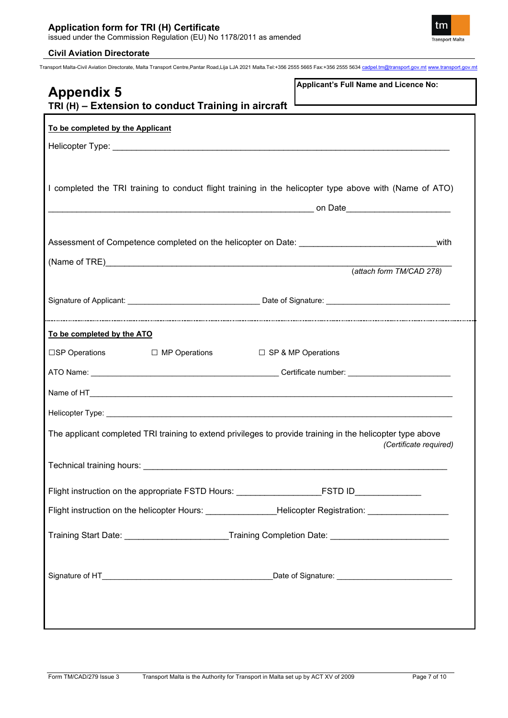



| Applicant's Full Name and Licence No:<br><b>Appendix 5</b><br>TRI (H) - Extension to conduct Training in aircraft                    |
|--------------------------------------------------------------------------------------------------------------------------------------|
| To be completed by the Applicant                                                                                                     |
|                                                                                                                                      |
| I completed the TRI training to conduct flight training in the helicopter type above with (Name of ATO)                              |
| Assessment of Competence completed on the helicopter on Date: Networkshipsed<br>with                                                 |
|                                                                                                                                      |
| (attach form TM/CAD 278)                                                                                                             |
|                                                                                                                                      |
|                                                                                                                                      |
| To be completed by the ATO                                                                                                           |
| $\square$ SP Operations $\square$ MP Operations $\square$ SP & MP Operations                                                         |
|                                                                                                                                      |
|                                                                                                                                      |
|                                                                                                                                      |
| The applicant completed TRI training to extend privileges to provide training in the helicopter type above<br>(Certificate required) |
|                                                                                                                                      |
| Flight instruction on the appropriate FSTD Hours: _______________________________                                                    |
| Flight instruction on the helicopter Hours: ________________Helicopter Registration: _______________                                 |
| Training Start Date: __________________________Training Completion Date: __________________________                                  |
|                                                                                                                                      |
|                                                                                                                                      |
|                                                                                                                                      |
|                                                                                                                                      |
|                                                                                                                                      |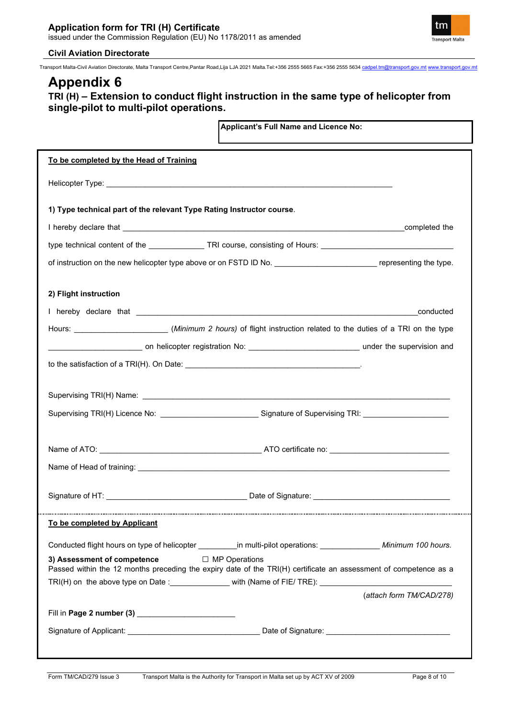

Transport Malta-Civil Aviation Directorate, Malta Transport Centre,Pantar Road,Lija LJA 2021 Malta.Tel:+356 2555 5665 Fax:+356 2555 5634 [cadpel.tm@transport.gov.mt](mailto:cadpel.tm@transport.gov.mt) [www.transport.gov.mt](http://www.transport.gov.mt/)

## **Appendix 6**

### **TRI (H) – Extension to conduct flight instruction in the same type of helicopter from single-pilot to multi-pilot operations.**

**Applicant's Full Name and Licence No:**

| To be completed by the Head of Training                                                                                                                            |                          |
|--------------------------------------------------------------------------------------------------------------------------------------------------------------------|--------------------------|
|                                                                                                                                                                    |                          |
| 1) Type technical part of the relevant Type Rating Instructor course.                                                                                              |                          |
|                                                                                                                                                                    |                          |
| type technical content of the _______________TRI course, consisting of Hours: ________________________________                                                     |                          |
| of instruction on the new helicopter type above or on FSTD ID No. _________________________________ representing the type.                                         |                          |
| 2) Flight instruction                                                                                                                                              |                          |
|                                                                                                                                                                    |                          |
| Hours: ________________________(Minimum 2 hours) of flight instruction related to the duties of a TRI on the type                                                  |                          |
|                                                                                                                                                                    |                          |
|                                                                                                                                                                    |                          |
|                                                                                                                                                                    |                          |
|                                                                                                                                                                    |                          |
| Supervising TRI(H) Licence No: ______________________________Signature of Supervising TRI: ___________________                                                     |                          |
|                                                                                                                                                                    |                          |
|                                                                                                                                                                    |                          |
|                                                                                                                                                                    |                          |
|                                                                                                                                                                    |                          |
| To be completed by Applicant                                                                                                                                       |                          |
|                                                                                                                                                                    |                          |
| 3) Assessment of competence<br>□ MP Operations<br>Passed within the 12 months preceding the expiry date of the TRI(H) certificate an assessment of competence as a |                          |
| TRI(H) on the above type on Date :_______________ with (Name of FIE/ TRE): _________________________                                                               |                          |
|                                                                                                                                                                    | (attach form TM/CAD/278) |
|                                                                                                                                                                    |                          |
|                                                                                                                                                                    |                          |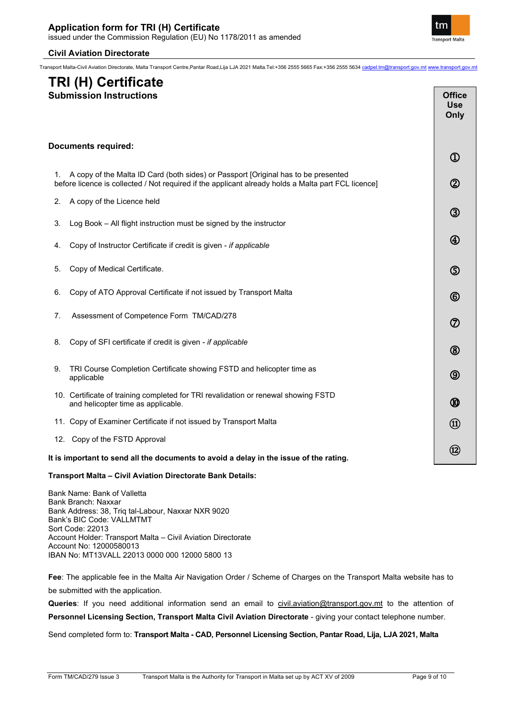Transport Malta-Civil Aviation Directorate, Malta Transport Centre,Pantar Road,Lija LJA 2021 Malta.Tel:+356 2555 5665 Fax:+356 2555 5634 [cadpel.tm@transport.gov.mt](mailto:cadpel.tm@transport.gov.mt) [www.transport.gov.mt](http://www.transport.gov.mt/)

# **TRI (H) Certificate**

| <b>Submission Instructions</b>                                                                                                                                                            | <b>Office</b><br>Use<br>Only |
|-------------------------------------------------------------------------------------------------------------------------------------------------------------------------------------------|------------------------------|
| <b>Documents required:</b>                                                                                                                                                                | $^\mathrm{\textregistered}$  |
| A copy of the Malta ID Card (both sides) or Passport [Original has to be presented<br>before licence is collected / Not required if the applicant already holds a Malta part FCL licence] | $^\circledR$                 |
| A copy of the Licence held<br>2.                                                                                                                                                          | ③                            |
| Log Book - All flight instruction must be signed by the instructor<br>3.                                                                                                                  |                              |
| Copy of Instructor Certificate if credit is given - if applicable<br>4.                                                                                                                   | $^{\circledR}$               |
| Copy of Medical Certificate.<br>5.                                                                                                                                                        | ග                            |
| Copy of ATO Approval Certificate if not issued by Transport Malta<br>6.                                                                                                                   | $^{\circledR}$               |
| Assessment of Competence Form TM/CAD/278<br>7.                                                                                                                                            | ⑦                            |
| Copy of SFI certificate if credit is given - if applicable<br>8.                                                                                                                          | $^\circledR$                 |
| TRI Course Completion Certificate showing FSTD and helicopter time as<br>9.<br>applicable                                                                                                 | ⑨                            |
| 10. Certificate of training completed for TRI revalidation or renewal showing FSTD<br>and helicopter time as applicable.                                                                  | ⅏                            |
| 11. Copy of Examiner Certificate if not issued by Transport Malta                                                                                                                         | $\circled{\scriptstyle 1}$   |
| 12. Copy of the FSTD Approval                                                                                                                                                             |                              |
| It is important to send all the documents to avoid a delay in the issue of the rating.                                                                                                    | $\circledR$                  |
| <b>Transport Malta - Civil Aviation Directorate Bank Details:</b>                                                                                                                         |                              |

Bank Name: Bank of Valletta Bank Branch: Naxxar Bank Address: 38, Triq tal-Labour, Naxxar NXR 9020 Bank's BIC Code: VALLMTMT Sort Code: 22013 Account Holder: Transport Malta – Civil Aviation Directorate Account No: 12000580013 IBAN No: MT13VALL 22013 0000 000 12000 5800 13

**Fee**: The applicable fee in the Malta Air Navigation Order / Scheme of Charges on the Transport Malta website has to be submitted with the application.

**Queries**: If you need additional information send an email to [civil.aviation@transport.gov.mt](mailto:civil.aviation@transport.gov.mt) to the attention of **Personnel Licensing Section, Transport Malta Civil Aviation Directorate** - giving your contact telephone number.

Send completed form to: **Transport Malta - CAD, Personnel Licensing Section, Pantar Road, Lija, LJA 2021, Malta**



Г